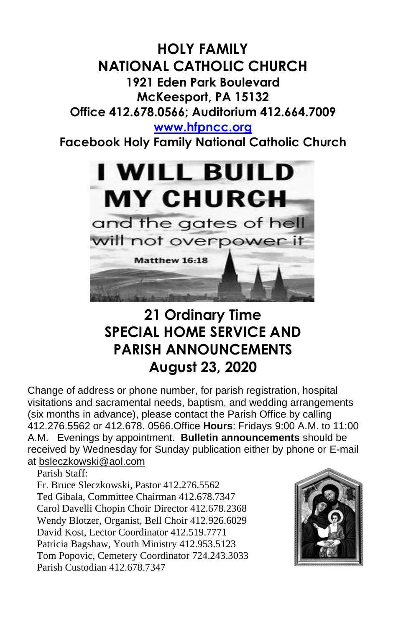## **HOLY FAMILY NATIONAL CATHOLIC CHURCH 1921 Eden Park Boulevard McKeesport, PA 15132 Office 412.678.0566; Auditorium 412.664.7009 [www.hfpncc.org](http://www.hfpncc.org/) Facebook Holy Family National Catholic Church**



# **21 Ordinary Time SPECIAL HOME SERVICE AND PARISH ANNOUNCEMENTS August 23, 2020**

Change of address or phone number, for parish registration, hospital visitations and sacramental needs, baptism, and wedding arrangements (six months in advance), please contact the Parish Office by calling 412.276.5562 or 412.678. 0566.Office **Hours**: Fridays 9:00 A.M. to 11:00 A.M. Evenings by appointment. **Bulletin announcements** should be received by Wednesday for Sunday publication either by phone or E-mail at [bsleczkowski@aol.com](mailto:bsleczkowski@aol.com)

Parish Staff:

Fr. Bruce Sleczkowski, Pastor 412.276.5562 Ted Gibala, Committee Chairman 412.678.7347 Carol Davelli Chopin Choir Director 412.678.2368 Wendy Blotzer, Organist, Bell Choir 412.926.6029 David Kost, Lector Coordinator 412.519.7771 Patricia Bagshaw, Youth Ministry 412.953.5123 Tom Popovic, Cemetery Coordinator 724.243.3033 Parish Custodian 412.678.7347

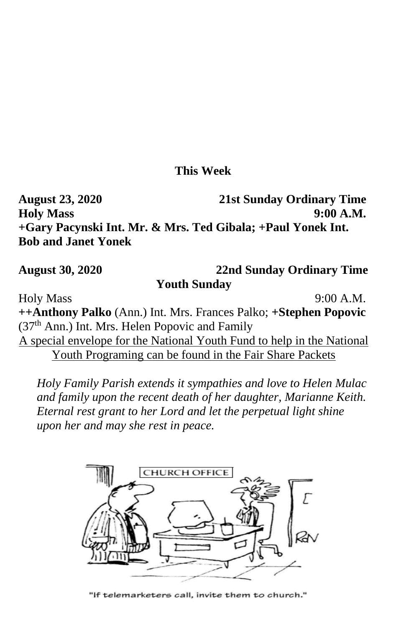### **This Week**

**August 23, 2020 21st Sunday Ordinary Time Holy Mass 9:00 A.M. +Gary Pacynski Int. Mr. & Mrs. Ted Gibala; +Paul Yonek Int. Bob and Janet Yonek**

#### **August 30, 2020 22nd Sunday Ordinary Time Youth Sunday**

Holy Mass 9:00 A.M. **++Anthony Palko** (Ann.) Int. Mrs. Frances Palko; **+Stephen Popovic** (37th Ann.) Int. Mrs. Helen Popovic and Family A special envelope for the National Youth Fund to help in the National Youth Programing can be found in the Fair Share Packets

 *Holy Family Parish extends it sympathies and love to Helen Mulac and family upon the recent death of her daughter, Marianne Keith. Eternal rest grant to her Lord and let the perpetual light shine upon her and may she rest in peace.*



"If telemarketers call, invite them to church."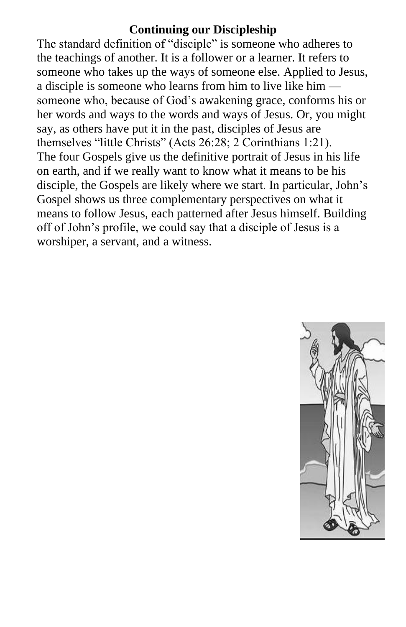### **Continuing our Discipleship**

The standard definition of "disciple" is someone who adheres to the teachings of another. It is a follower or a learner. It refers to someone who takes up the ways of someone else. Applied to Jesus, a disciple is someone who learns from him to live like him someone who, because of God's awakening grace, conforms his or her words and ways to the words and ways of Jesus. Or, you might say, as others have put it in the past, disciples of Jesus are themselves "little Christs" (Acts 26:28; 2 Corinthians 1:21). The four Gospels give us the definitive portrait of Jesus in his life on earth, and if we really want to know what it means to be his disciple, the Gospels are likely where we start. In particular, John's Gospel shows us three complementary perspectives on what it means to follow Jesus, each patterned after Jesus himself. Building off of John's profile, we could say that a disciple of Jesus is a worshiper, a servant, and a witness.